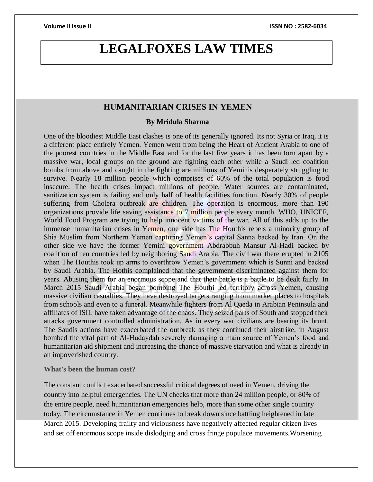# **LEGALFOXES LAW TIMES**

# **HUMANITARIAN CRISES IN YEMEN**

### **By Mridula Sharma**

One of the bloodiest Middle East clashes is one of its generally ignored. Its not Syria or Iraq, it is a different place entirely Yemen. Yemen went from being the Heart of Ancient Arabia to one of the poorest countries in the Middle East and for the last five years it has been torn apart by a massive war, local groups on the ground are fighting each other while a Saudi led coalition bombs from above and caught in the fighting are millions of Yeminis desperately struggling to survive. Nearly 18 million people which comprises of 60% of the total population is food insecure. The health crises impact millions of people. Water sources are contaminated, sanitization system is failing and only half of health facilities function. Nearly 30% of people suffering from Cholera outbreak are children. The operation is enormous, more than 190 organizations provide life saving assistance to 7 million people every month. WHO, UNICEF, World Food Program are trying to help innocent victims of the war. All of this adds up to the immense humanitarian crises in Yemen, one side has The Houthis rebels a minority group of Shia Muslim from Northern Yemen capturing Yemen's capital Sanna backed by Iran. On the other side we have the former Yemini government Abdrabbuh Mansur Al-Hadi backed by coalition of ten countries led by neighboring Saudi Arabia. The civil war there erupted in 2105 when The Houthis took up arms to overthrow Yemen's government which is Sunni and backed by Saudi Arabia. The Hothis complained that the government discriminated against them for years. Abusing them for an enormous scope and that their battle is a battle to be dealt fairly. In March 2015 Saudi Arabia began bombing The Houthi led territory across Yemen, causing massive civilian casualties. They have destroyed targets ranging from market places to hospitals from schools and even to a funeral. Meanwhile fighters from Al Qaeda in Arabian Peninsula and affiliates of ISIL have taken advantage of the chaos. They seized parts of South and stopped their attacks government controlled administration. As in every war civilians are bearing its brunt. The Saudis actions have exacerbated the outbreak as they continued their airstrike, in August bombed the vital part of Al-Hudaydah severely damaging a main source of Yemen's food and humanitarian aid shipment and increasing the chance of massive starvation and what is already in an impoverished country.

## **What's been the human cost?**

The constant conflict exacerbated successful critical degrees of need in Yemen, driving the country into helpful emergencies. The UN checks that more than 24 million people, or 80% of the entire people, need humanitarian emergencies help, more than some other single country today. The circumstance in Yemen continues to break down since battling heightened in late March 2015. Developing frailty and viciousness have negatively affected regular citizen lives and set off enormous scope inside dislodging and cross fringe populace movements.Worsening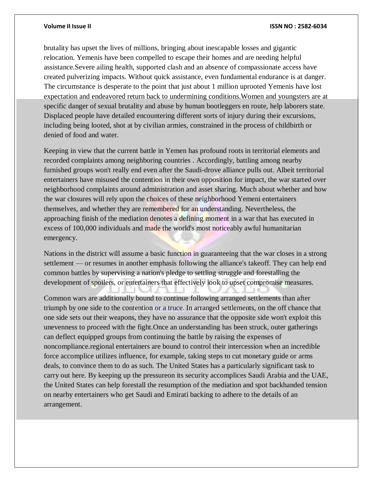### **Volume II Issue II ISSN NO : 2582-6034**

brutality has upset the lives of millions, bringing about inescapable losses and gigantic relocation. Yemenis have been compelled to escape their homes and are needing helpful assistance.Severe ailing health, supported clash and an absence of compassionate access have created pulverizing impacts. Without quick assistance, even fundamental endurance is at danger. The circumstance is desperate to the point that just about 1 million uprooted Yemenis have lost expectation and endeavored return back to undermining conditions.Women and youngsters are at specific danger of sexual brutality and abuse by human bootleggers en route, help laborers state. Displaced people have detailed encountering different sorts of injury during their excursions, including being looted, shot at by civilian armies, constrained in the process of childbirth or denied of food and water.

Keeping in view that the current battle in Yemen has profound roots in territorial elements and recorded complaints among neighboring countries . Accordingly, battling among nearby furnished groups won't really end even after the Saudi-drove alliance pulls out. Albeit territorial entertainers have misused the contention in their own opposition for impact, the war started over neighborhood complaints around administration and asset sharing. Much about whether and how the war closures will rely upon the choices of these neighborhood Yemeni entertainers themselves, and whether they are remembered for an understanding. Nevertheless, the approaching finish of the mediation denotes a defining moment in a war that has executed in excess of 100,000 individuals and made the world's most noticeably awful humanitarian emergency.

Nations in the district will assume a basic function in guaranteeing that the war closes in a strong settlement — or resumes in another emphasis following the alliance's takeoff. They can help end common battles by supervising a nation's pledge to settling struggle and forestalling the development of spoilers, or entertainers that effectively look to upset compromise measures.

Common wars are additionally bound to continue following arranged settlements than after triumph by one side to the contention or a truce. In arranged settlements, on the off chance that one side sets out their weapons, they have no assurance that the opposite side won't exploit this unevenness to proceed with the fight.Once an understanding has been struck, outer gatherings can deflect equipped groups from continuing the battle by raising the expenses of noncompliance.regional entertainers are bound to control their intercession when an incredible force accomplice utilizes influence, for example, taking steps to cut monetary guide or arms deals, to convince them to do as such. The United States has a particularly significant task to carry out here. By keeping up the pressureon its security accomplices Saudi Arabia and the UAE, the United States can help forestall the resumption of the mediation and spot backhanded tension on nearby entertainers who get Saudi and Emirati backing to adhere to the details of an arrangement.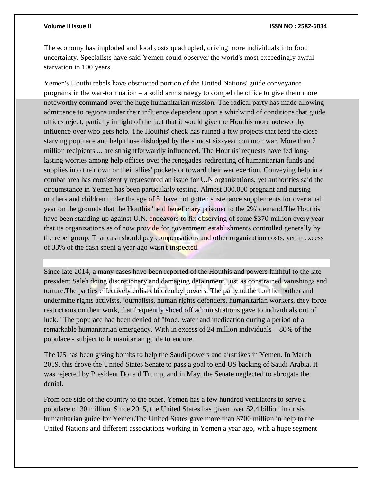### **Volume II Issue II ISSN NO : 2582-6034**

The economy has imploded and food costs quadrupled, driving more individuals into food uncertainty. Specialists have said Yemen could observer the world's most exceedingly awful starvation in 100 years.

Yemen's Houthi rebels have obstructed portion of the United Nations' guide conveyance programs in the war-torn nation – a solid arm strategy to compel the office to give them more noteworthy command over the huge humanitarian mission. The radical party has made allowing admittance to regions under their influence dependent upon a whirlwind of conditions that guide offices reject, partially in light of the fact that it would give the Houthis more noteworthy influence over who gets help. The Houthis' check has ruined a few projects that feed the close starving populace and help those dislodged by the almost six-year common war. More than 2 million recipients ... are straightforwardly influenced. The Houthis' requests have fed longlasting worries among help offices over the renegades' redirecting of humanitarian funds and supplies into their own or their allies' pockets or toward their war exertion. Conveying help in a combat area has consistently represented an issue for U.N organizations, yet authorities said the circumstance in Yemen has been particularly testing. Almost 300,000 pregnant and nursing mothers and children under the age of 5 have not gotten sustenance supplements for over a half year on the grounds that the Houthis 'held beneficiary prisoner to the 2%' demand.The Houthis have been standing up against U.N. endeavors to fix observing of some \$370 million every year that its organizations as of now provide for government establishments controlled generally by the rebel group. That cash should pay compensations and other organization costs, yet in excess of 33% of the cash spent a year ago wasn't inspected.

Since late 2014, a many cases have been reported of the Houthis and powers faithful to the late president Saleh doing discretionary and damaging detainment, just as constrained vanishings and torture.The parties effectively enlist children by powers. The party to the conflict bother and undermine rights activists, journalists, human rights defenders, humanitarian workers, they force restrictions on their work, that frequently sliced off administrations gave to individuals out of luck." The populace had been denied of "food, water and medication during a period of a remarkable humanitarian emergency. With in excess of 24 million individuals – 80% of the populace - subject to humanitarian guide to endure.

The US has been giving bombs to help the Saudi powers and airstrikes in Yemen. In March 2019, this drove the United States Senate to pass a goal to end US backing of Saudi Arabia. It was rejected by President Donald Trump, and in May, the Senate neglected to abrogate the denial.

From one side of the country to the other, Yemen has a few hundred ventilators to serve a populace of 30 million. Since 2015, the United States has given over \$2.4 billion in crisis humanitarian guide for Yemen.The United States gave more than \$700 million in help to the United Nations and different associations working in Yemen a year ago, with a huge segment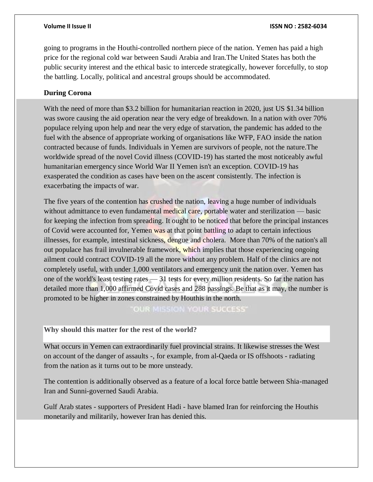going to programs in the Houthi-controlled northern piece of the nation. Yemen has paid a high price for the regional cold war between Saudi Arabia and Iran.The United States has both the public security interest and the ethical basic to intercede strategically, however forcefully, to stop the battling. Locally, political and ancestral groups should be accommodated.

# **During Corona**

With the need of more than \$3.2 billion for humanitarian reaction in 2020, just US \$1.34 billion was swore causing the aid operation near the very edge of breakdown. In a nation with over 70% populace relying upon help and near the very edge of starvation, the pandemic has added to the fuel with the absence of appropriate working of organisations like WFP, FAO inside the nation contracted because of funds. Individuals in Yemen are survivors of people, not the nature.The worldwide spread of the novel Covid illness (COVID-19) has started the most noticeably awful humanitarian emergency since World War II Yemen isn't an exception. COVID-19 has exasperated the condition as cases have been on the ascent consistently. The infection is exacerbating the impacts of war.

The five years of the contention has crushed the nation, leaving a huge number of individuals without admittance to even fundamental medical care, portable water and sterilization — basic for keeping the infection from spreading. It ought to be noticed that before the principal instances of Covid were accounted for, Yemen was at that point battling to adapt to certain infectious illnesses, for example, intestinal sickness, dengue and cholera. More than 70% of the nation's all out populace has frail invulnerable framework, which implies that those experiencing ongoing ailment could contract COVID-19 all the more without any problem. Half of the clinics are not completely useful, with under 1,000 ventilators and emergency unit the nation over. Yemen has one of the world's least testing rates  $-31$  tests for every million residents. So far the nation has detailed more than 1,000 affirmed Covid cases and 288 passings. Be that as it may, the number is promoted to be higher in zones constrained by Houthis in the north.

**OUR MISSION YOUR SUCCESS'** 

**Why should this matter for the rest of the world?**

What occurs in Yemen can extraordinarily fuel provincial strains. It likewise stresses the West on account of the danger of assaults -, for example, from al-Qaeda or IS offshoots - radiating from the nation as it turns out to be more unsteady.

The contention is additionally observed as a feature of a local force battle between Shia-managed Iran and Sunni-governed Saudi Arabia.

Gulf Arab states - supporters of President Hadi - have blamed Iran for reinforcing the Houthis monetarily and militarily, however Iran has denied this.